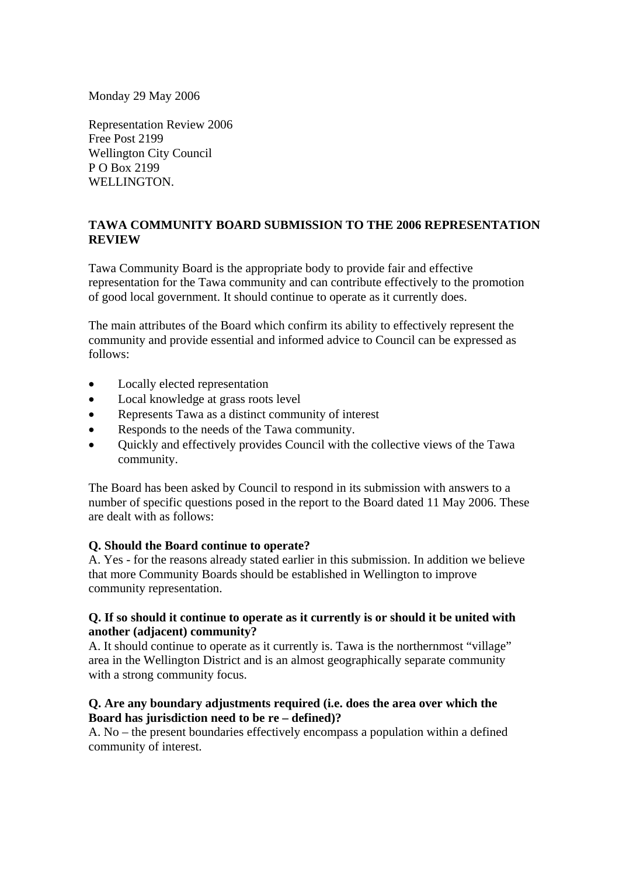Monday 29 May 2006

Representation Review 2006 Free Post 2199 Wellington City Council P O Box 2199 WELLINGTON.

# **TAWA COMMUNITY BOARD SUBMISSION TO THE 2006 REPRESENTATION REVIEW**

Tawa Community Board is the appropriate body to provide fair and effective representation for the Tawa community and can contribute effectively to the promotion of good local government. It should continue to operate as it currently does.

The main attributes of the Board which confirm its ability to effectively represent the community and provide essential and informed advice to Council can be expressed as follows:

- Locally elected representation
- Local knowledge at grass roots level
- Represents Tawa as a distinct community of interest
- Responds to the needs of the Tawa community.
- Quickly and effectively provides Council with the collective views of the Tawa community.

The Board has been asked by Council to respond in its submission with answers to a number of specific questions posed in the report to the Board dated 11 May 2006. These are dealt with as follows:

#### **Q. Should the Board continue to operate?**

A. Yes - for the reasons already stated earlier in this submission. In addition we believe that more Community Boards should be established in Wellington to improve community representation.

### **Q. If so should it continue to operate as it currently is or should it be united with another (adjacent) community?**

A. It should continue to operate as it currently is. Tawa is the northernmost "village" area in the Wellington District and is an almost geographically separate community with a strong community focus.

### **Q. Are any boundary adjustments required (i.e. does the area over which the Board has jurisdiction need to be re – defined)?**

A. No – the present boundaries effectively encompass a population within a defined community of interest.